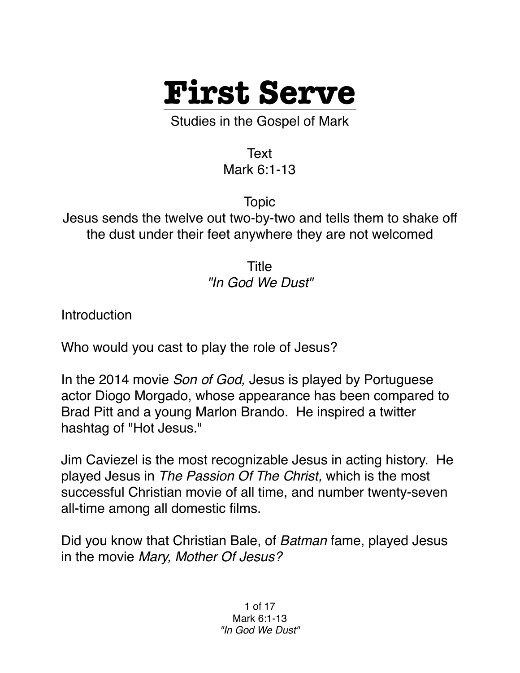

Studies in the Gospel of Mark

Text Mark 6:1-13

Topic Jesus sends the twelve out two-by-two and tells them to shake off the dust under their feet anywhere they are not welcomed

> Title *"In God We Dust"*

**Introduction** 

Who would you cast to play the role of Jesus?

In the 2014 movie *Son of God,* Jesus is played by Portuguese actor Diogo Morgado, whose appearance has been compared to Brad Pitt and a young Marlon Brando. He inspired a twitter hashtag of "Hot Jesus."

Jim Caviezel is the most recognizable Jesus in acting history. He played Jesus in *The Passion Of The Christ,* which is the most successful Christian movie of all time, and number twenty-seven all-time among all domestic films.

Did you know that Christian Bale, of *Batman* fame, played Jesus in the movie *Mary, Mother Of Jesus?*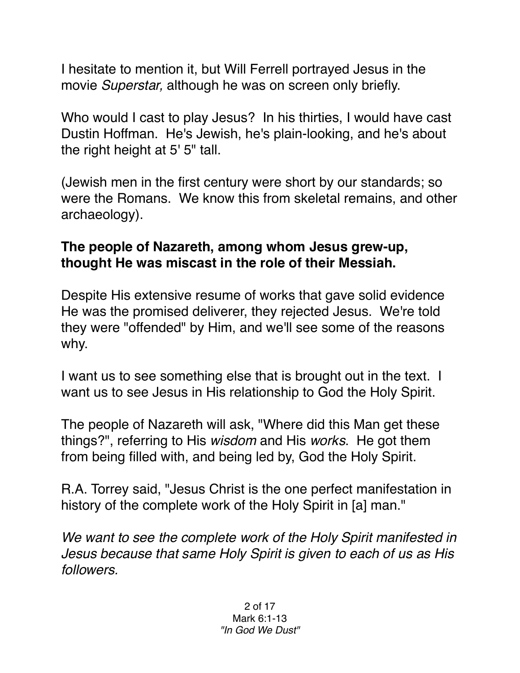I hesitate to mention it, but Will Ferrell portrayed Jesus in the movie *Superstar,* although he was on screen only briefly.

Who would I cast to play Jesus? In his thirties, I would have cast Dustin Hoffman. He's Jewish, he's plain-looking, and he's about the right height at 5' 5" tall.

(Jewish men in the first century were short by our standards; so were the Romans. We know this from skeletal remains, and other archaeology).

## **The people of Nazareth, among whom Jesus grew-up, thought He was miscast in the role of their Messiah.**

Despite His extensive resume of works that gave solid evidence He was the promised deliverer, they rejected Jesus. We're told they were "offended" by Him, and we'll see some of the reasons why.

I want us to see something else that is brought out in the text. I want us to see Jesus in His relationship to God the Holy Spirit.

The people of Nazareth will ask, "Where did this Man get these things?", referring to His *wisdom* and His *works*. He got them from being filled with, and being led by, God the Holy Spirit.

R.A. Torrey said, "Jesus Christ is the one perfect manifestation in history of the complete work of the Holy Spirit in [a] man."

*We want to see the complete work of the Holy Spirit manifested in Jesus because that same Holy Spirit is given to each of us as His followers.*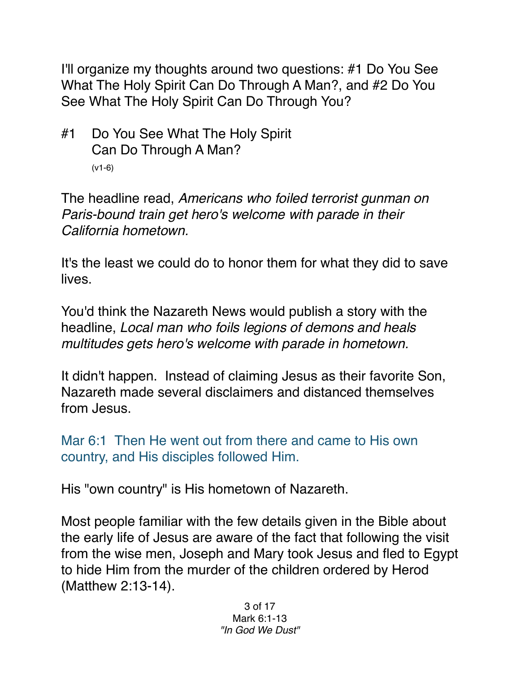I'll organize my thoughts around two questions: #1 Do You See What The Holy Spirit Can Do Through A Man?, and #2 Do You See What The Holy Spirit Can Do Through You?

#1 Do You See What The Holy Spirit Can Do Through A Man? (v1-6)

The headline read, *Americans who foiled terrorist gunman on Paris-bound train get hero's welcome with parade in their California hometown.*

It's the least we could do to honor them for what they did to save lives.

You'd think the Nazareth News would publish a story with the headline, *Local man who foils legions of demons and heals multitudes gets hero's welcome with parade in hometown.*

It didn't happen. Instead of claiming Jesus as their favorite Son, Nazareth made several disclaimers and distanced themselves from Jesus.

Mar 6:1 Then He went out from there and came to His own country, and His disciples followed Him.

His "own country" is His hometown of Nazareth.

Most people familiar with the few details given in the Bible about the early life of Jesus are aware of the fact that following the visit from the wise men, Joseph and Mary took Jesus and fled to Egypt to hide Him from the murder of the children ordered by Herod (Matthew 2:13-14).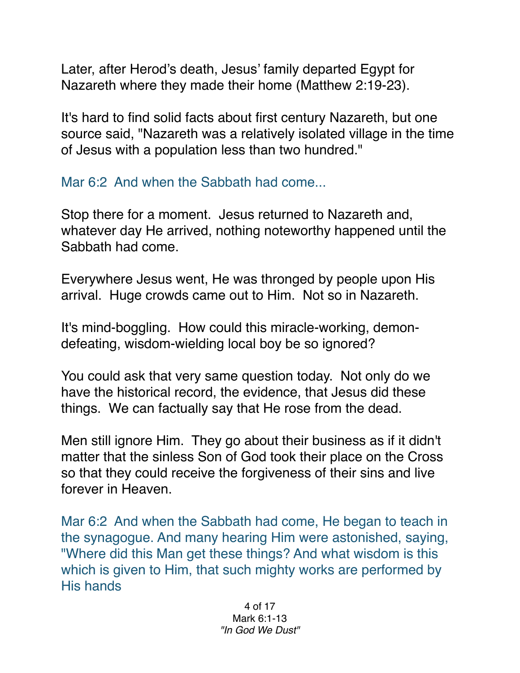Later, after Herod's death, Jesus' family departed Egypt for Nazareth where they made their home (Matthew 2:19-23).

It's hard to find solid facts about first century Nazareth, but one source said, "Nazareth was a relatively isolated village in the time of Jesus with a population less than two hundred."

Mar 6:2 And when the Sabbath had come...

Stop there for a moment. Jesus returned to Nazareth and, whatever day He arrived, nothing noteworthy happened until the Sabbath had come.

Everywhere Jesus went, He was thronged by people upon His arrival. Huge crowds came out to Him. Not so in Nazareth.

It's mind-boggling. How could this miracle-working, demondefeating, wisdom-wielding local boy be so ignored?

You could ask that very same question today. Not only do we have the historical record, the evidence, that Jesus did these things. We can factually say that He rose from the dead.

Men still ignore Him. They go about their business as if it didn't matter that the sinless Son of God took their place on the Cross so that they could receive the forgiveness of their sins and live forever in Heaven.

Mar 6:2 And when the Sabbath had come, He began to teach in the synagogue. And many hearing Him were astonished, saying, "Where did this Man get these things? And what wisdom is this which is given to Him, that such mighty works are performed by His hands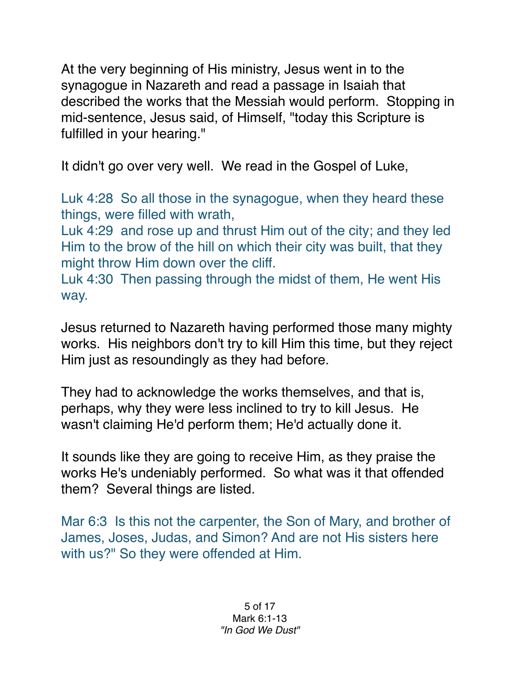At the very beginning of His ministry, Jesus went in to the synagogue in Nazareth and read a passage in Isaiah that described the works that the Messiah would perform. Stopping in mid-sentence, Jesus said, of Himself, "today this Scripture is fulfilled in your hearing."

It didn't go over very well. We read in the Gospel of Luke,

Luk 4:28 So all those in the synagogue, when they heard these things, were filled with wrath,

Luk 4:29 and rose up and thrust Him out of the city; and they led Him to the brow of the hill on which their city was built, that they might throw Him down over the cliff.

Luk 4:30 Then passing through the midst of them, He went His way.

Jesus returned to Nazareth having performed those many mighty works. His neighbors don't try to kill Him this time, but they reject Him just as resoundingly as they had before.

They had to acknowledge the works themselves, and that is, perhaps, why they were less inclined to try to kill Jesus. He wasn't claiming He'd perform them; He'd actually done it.

It sounds like they are going to receive Him, as they praise the works He's undeniably performed. So what was it that offended them? Several things are listed.

Mar 6:3 Is this not the carpenter, the Son of Mary, and brother of James, Joses, Judas, and Simon? And are not His sisters here with us?" So they were offended at Him.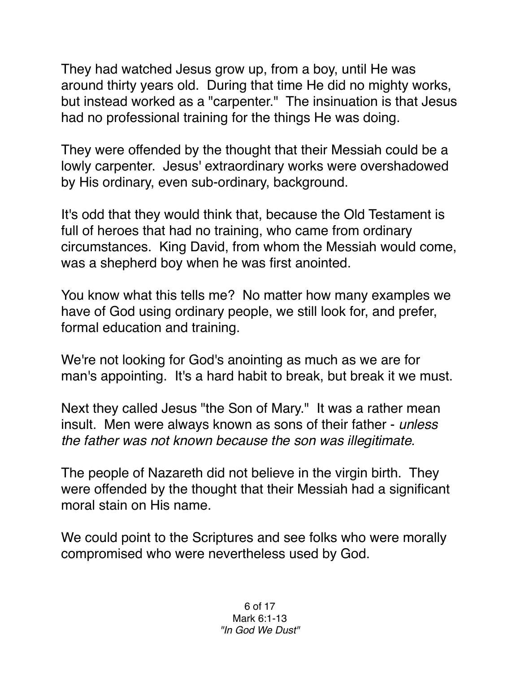They had watched Jesus grow up, from a boy, until He was around thirty years old. During that time He did no mighty works, but instead worked as a "carpenter." The insinuation is that Jesus had no professional training for the things He was doing.

They were offended by the thought that their Messiah could be a lowly carpenter. Jesus' extraordinary works were overshadowed by His ordinary, even sub-ordinary, background.

It's odd that they would think that, because the Old Testament is full of heroes that had no training, who came from ordinary circumstances. King David, from whom the Messiah would come, was a shepherd boy when he was first anointed.

You know what this tells me? No matter how many examples we have of God using ordinary people, we still look for, and prefer, formal education and training.

We're not looking for God's anointing as much as we are for man's appointing. It's a hard habit to break, but break it we must.

Next they called Jesus "the Son of Mary." It was a rather mean insult. Men were always known as sons of their father - *unless the father was not known because the son was illegitimate.*

The people of Nazareth did not believe in the virgin birth. They were offended by the thought that their Messiah had a significant moral stain on His name.

We could point to the Scriptures and see folks who were morally compromised who were nevertheless used by God.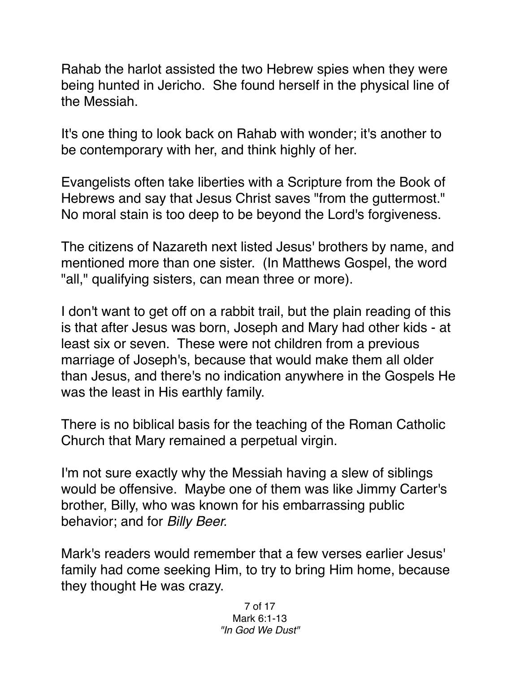Rahab the harlot assisted the two Hebrew spies when they were being hunted in Jericho. She found herself in the physical line of the Messiah.

It's one thing to look back on Rahab with wonder; it's another to be contemporary with her, and think highly of her.

Evangelists often take liberties with a Scripture from the Book of Hebrews and say that Jesus Christ saves "from the guttermost." No moral stain is too deep to be beyond the Lord's forgiveness.

The citizens of Nazareth next listed Jesus' brothers by name, and mentioned more than one sister. (In Matthews Gospel, the word "all," qualifying sisters, can mean three or more).

I don't want to get off on a rabbit trail, but the plain reading of this is that after Jesus was born, Joseph and Mary had other kids - at least six or seven. These were not children from a previous marriage of Joseph's, because that would make them all older than Jesus, and there's no indication anywhere in the Gospels He was the least in His earthly family.

There is no biblical basis for the teaching of the Roman Catholic Church that Mary remained a perpetual virgin.

I'm not sure exactly why the Messiah having a slew of siblings would be offensive. Maybe one of them was like Jimmy Carter's brother, Billy, who was known for his embarrassing public behavior; and for *Billy Beer.*

Mark's readers would remember that a few verses earlier Jesus' family had come seeking Him, to try to bring Him home, because they thought He was crazy.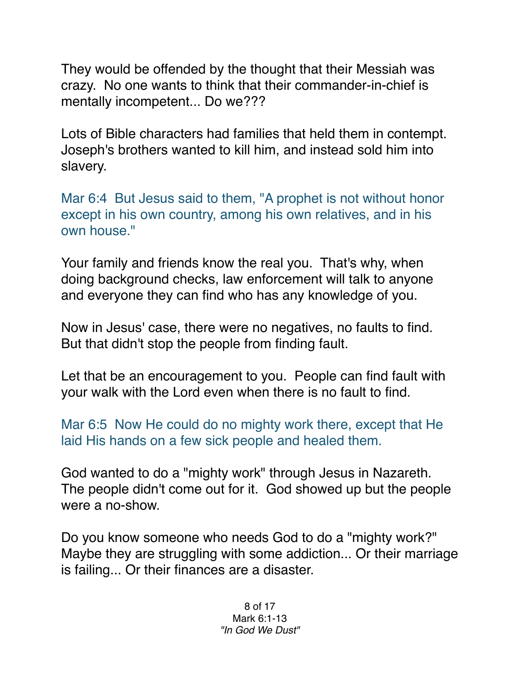They would be offended by the thought that their Messiah was crazy. No one wants to think that their commander-in-chief is mentally incompetent... Do we???

Lots of Bible characters had families that held them in contempt. Joseph's brothers wanted to kill him, and instead sold him into slavery.

Mar 6:4 But Jesus said to them, "A prophet is not without honor except in his own country, among his own relatives, and in his own house."

Your family and friends know the real you. That's why, when doing background checks, law enforcement will talk to anyone and everyone they can find who has any knowledge of you.

Now in Jesus' case, there were no negatives, no faults to find. But that didn't stop the people from finding fault.

Let that be an encouragement to you. People can find fault with your walk with the Lord even when there is no fault to find.

Mar 6:5 Now He could do no mighty work there, except that He laid His hands on a few sick people and healed them.

God wanted to do a "mighty work" through Jesus in Nazareth. The people didn't come out for it. God showed up but the people were a no-show.

Do you know someone who needs God to do a "mighty work?" Maybe they are struggling with some addiction... Or their marriage is failing... Or their finances are a disaster.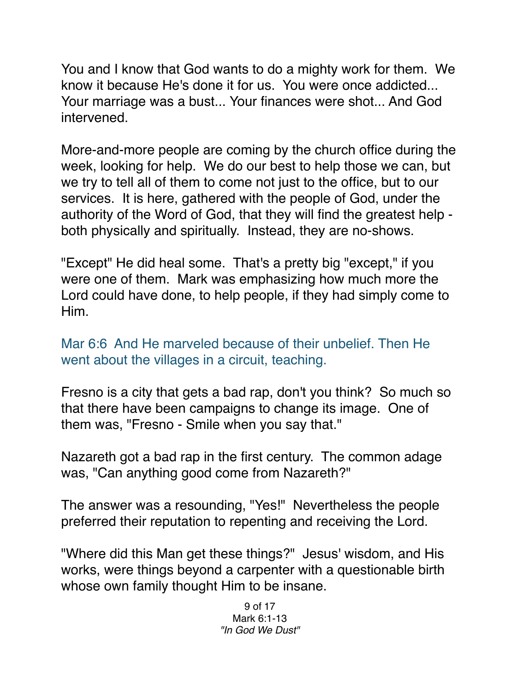You and I know that God wants to do a mighty work for them. We know it because He's done it for us. You were once addicted... Your marriage was a bust... Your finances were shot... And God intervened.

More-and-more people are coming by the church office during the week, looking for help. We do our best to help those we can, but we try to tell all of them to come not just to the office, but to our services. It is here, gathered with the people of God, under the authority of the Word of God, that they will find the greatest help both physically and spiritually. Instead, they are no-shows.

"Except" He did heal some. That's a pretty big "except," if you were one of them. Mark was emphasizing how much more the Lord could have done, to help people, if they had simply come to Him.

Mar 6:6 And He marveled because of their unbelief. Then He went about the villages in a circuit, teaching.

Fresno is a city that gets a bad rap, don't you think? So much so that there have been campaigns to change its image. One of them was, "Fresno - Smile when you say that."

Nazareth got a bad rap in the first century. The common adage was, "Can anything good come from Nazareth?"

The answer was a resounding, "Yes!" Nevertheless the people preferred their reputation to repenting and receiving the Lord.

"Where did this Man get these things?" Jesus' wisdom, and His works, were things beyond a carpenter with a questionable birth whose own family thought Him to be insane.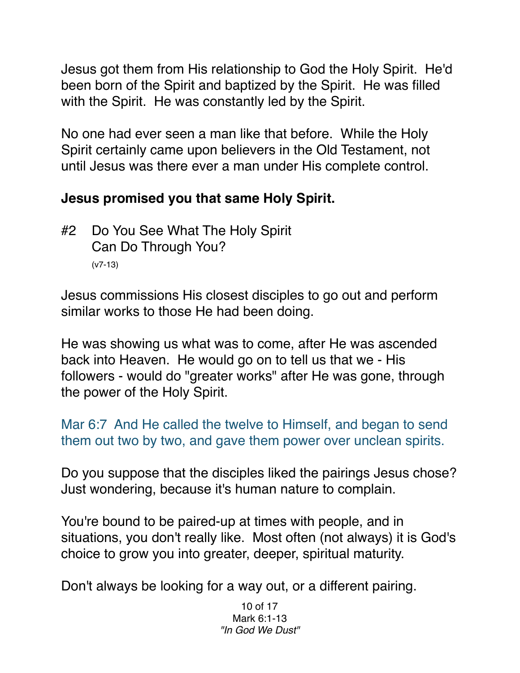Jesus got them from His relationship to God the Holy Spirit. He'd been born of the Spirit and baptized by the Spirit. He was filled with the Spirit. He was constantly led by the Spirit.

No one had ever seen a man like that before. While the Holy Spirit certainly came upon believers in the Old Testament, not until Jesus was there ever a man under His complete control.

## **Jesus promised you that same Holy Spirit.**

#2 Do You See What The Holy Spirit Can Do Through You? (v7-13)

Jesus commissions His closest disciples to go out and perform similar works to those He had been doing.

He was showing us what was to come, after He was ascended back into Heaven. He would go on to tell us that we - His followers - would do "greater works" after He was gone, through the power of the Holy Spirit.

Mar 6:7 And He called the twelve to Himself, and began to send them out two by two, and gave them power over unclean spirits.

Do you suppose that the disciples liked the pairings Jesus chose? Just wondering, because it's human nature to complain.

You're bound to be paired-up at times with people, and in situations, you don't really like. Most often (not always) it is God's choice to grow you into greater, deeper, spiritual maturity.

Don't always be looking for a way out, or a different pairing.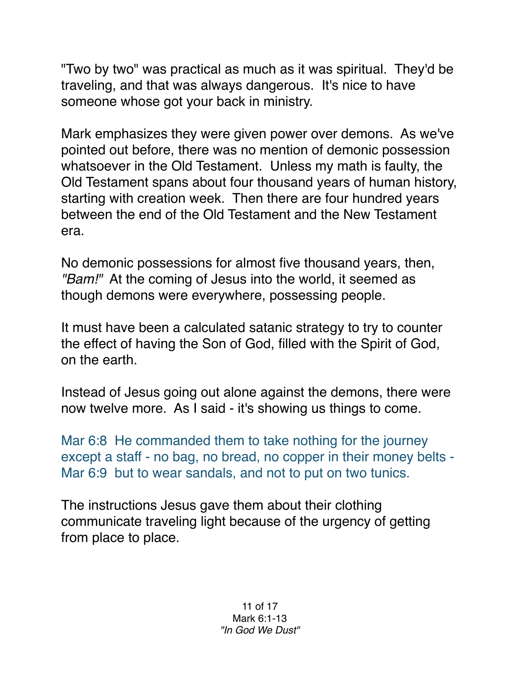"Two by two" was practical as much as it was spiritual. They'd be traveling, and that was always dangerous. It's nice to have someone whose got your back in ministry.

Mark emphasizes they were given power over demons. As we've pointed out before, there was no mention of demonic possession whatsoever in the Old Testament. Unless my math is faulty, the Old Testament spans about four thousand years of human history, starting with creation week. Then there are four hundred years between the end of the Old Testament and the New Testament era.

No demonic possessions for almost five thousand years, then, *"Bam!"* At the coming of Jesus into the world, it seemed as though demons were everywhere, possessing people.

It must have been a calculated satanic strategy to try to counter the effect of having the Son of God, filled with the Spirit of God, on the earth.

Instead of Jesus going out alone against the demons, there were now twelve more. As I said - it's showing us things to come.

Mar 6:8 He commanded them to take nothing for the journey except a staff - no bag, no bread, no copper in their money belts - Mar 6:9 but to wear sandals, and not to put on two tunics.

The instructions Jesus gave them about their clothing communicate traveling light because of the urgency of getting from place to place.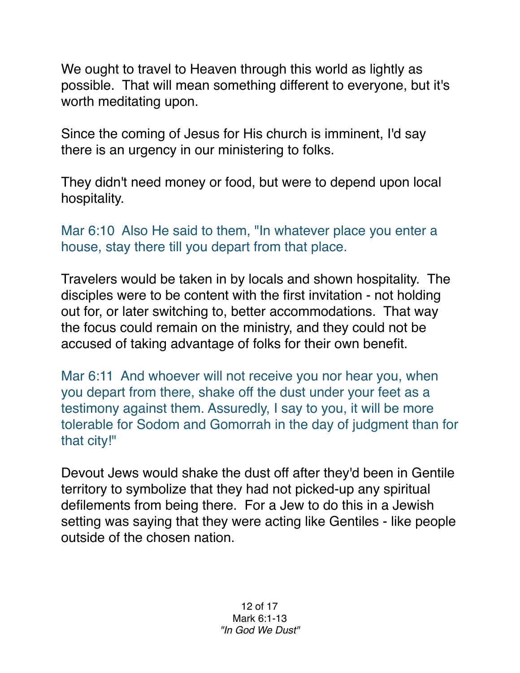We ought to travel to Heaven through this world as lightly as possible. That will mean something different to everyone, but it's worth meditating upon.

Since the coming of Jesus for His church is imminent, I'd say there is an urgency in our ministering to folks.

They didn't need money or food, but were to depend upon local hospitality.

Mar 6:10 Also He said to them, "In whatever place you enter a house, stay there till you depart from that place.

Travelers would be taken in by locals and shown hospitality. The disciples were to be content with the first invitation - not holding out for, or later switching to, better accommodations. That way the focus could remain on the ministry, and they could not be accused of taking advantage of folks for their own benefit.

Mar 6:11 And whoever will not receive you nor hear you, when you depart from there, shake off the dust under your feet as a testimony against them. Assuredly, I say to you, it will be more tolerable for Sodom and Gomorrah in the day of judgment than for that city!"

Devout Jews would shake the dust off after they'd been in Gentile territory to symbolize that they had not picked-up any spiritual defilements from being there. For a Jew to do this in a Jewish setting was saying that they were acting like Gentiles - like people outside of the chosen nation.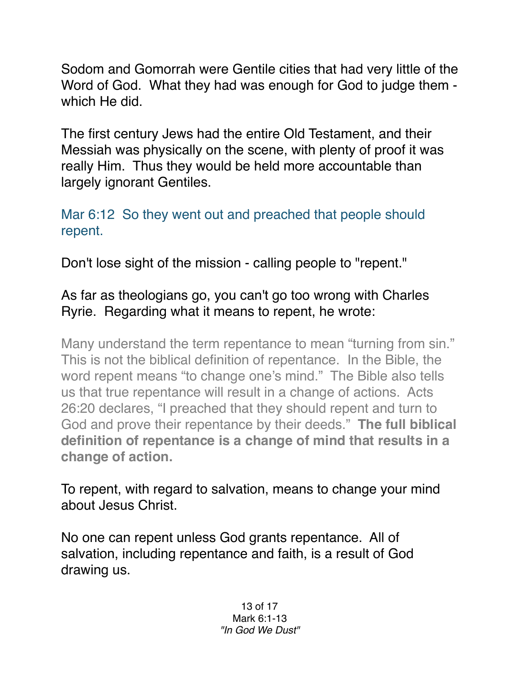Sodom and Gomorrah were Gentile cities that had very little of the Word of God. What they had was enough for God to judge them which He did.

The first century Jews had the entire Old Testament, and their Messiah was physically on the scene, with plenty of proof it was really Him. Thus they would be held more accountable than largely ignorant Gentiles.

Mar 6:12 So they went out and preached that people should repent.

Don't lose sight of the mission - calling people to "repent."

## As far as theologians go, you can't go too wrong with Charles Ryrie. Regarding what it means to repent, he wrote:

Many understand the term repentance to mean "turning from sin." This is not the biblical definition of repentance. In the Bible, the word repent means "to change one's mind." The Bible also tells us that true repentance will result in a change of actions. Acts 26:20 declares, "I preached that they should repent and turn to God and prove their repentance by their deeds." **The full biblical definition of repentance is a change of mind that results in a change of action.**

To repent, with regard to salvation, means to change your mind about Jesus Christ.

No one can repent unless God grants repentance. All of salvation, including repentance and faith, is a result of God drawing us.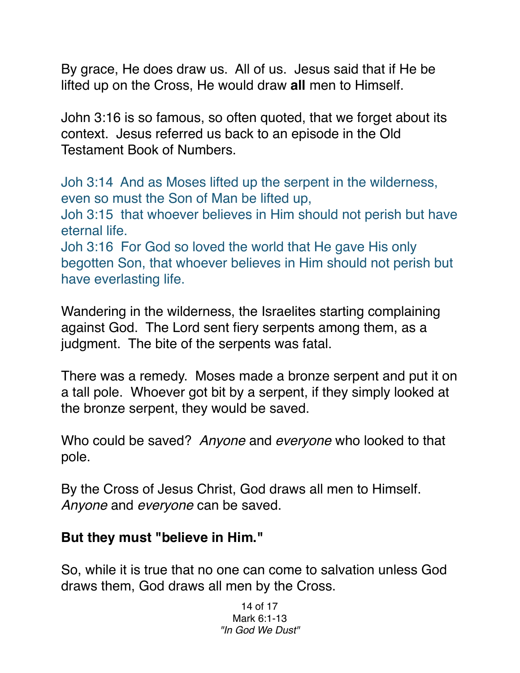By grace, He does draw us. All of us. Jesus said that if He be lifted up on the Cross, He would draw **all** men to Himself.

John 3:16 is so famous, so often quoted, that we forget about its context. Jesus referred us back to an episode in the Old Testament Book of Numbers.

Joh 3:14 And as Moses lifted up the serpent in the wilderness, even so must the Son of Man be lifted up,

Joh 3:15 that whoever believes in Him should not perish but have eternal life.

Joh 3:16 For God so loved the world that He gave His only begotten Son, that whoever believes in Him should not perish but have everlasting life.

Wandering in the wilderness, the Israelites starting complaining against God. The Lord sent fiery serpents among them, as a judgment. The bite of the serpents was fatal.

There was a remedy. Moses made a bronze serpent and put it on a tall pole. Whoever got bit by a serpent, if they simply looked at the bronze serpent, they would be saved.

Who could be saved? *Anyone* and *everyone* who looked to that pole.

By the Cross of Jesus Christ, God draws all men to Himself. *Anyone* and *everyone* can be saved.

## **But they must "believe in Him."**

So, while it is true that no one can come to salvation unless God draws them, God draws all men by the Cross.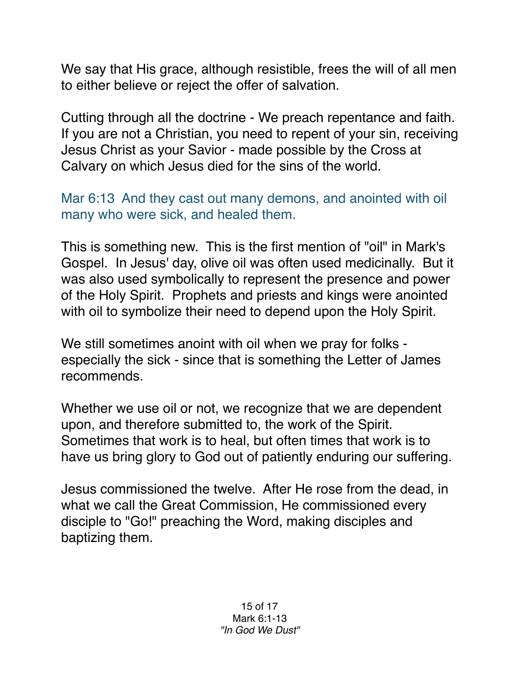We say that His grace, although resistible, frees the will of all men to either believe or reject the offer of salvation.

Cutting through all the doctrine - We preach repentance and faith. If you are not a Christian, you need to repent of your sin, receiving Jesus Christ as your Savior - made possible by the Cross at Calvary on which Jesus died for the sins of the world.

Mar 6:13 And they cast out many demons, and anointed with oil many who were sick, and healed them.

This is something new. This is the first mention of "oil" in Mark's Gospel. In Jesus' day, olive oil was often used medicinally. But it was also used symbolically to represent the presence and power of the Holy Spirit. Prophets and priests and kings were anointed with oil to symbolize their need to depend upon the Holy Spirit.

We still sometimes anoint with oil when we pray for folks especially the sick - since that is something the Letter of James recommends.

Whether we use oil or not, we recognize that we are dependent upon, and therefore submitted to, the work of the Spirit. Sometimes that work is to heal, but often times that work is to have us bring glory to God out of patiently enduring our suffering.

Jesus commissioned the twelve. After He rose from the dead, in what we call the Great Commission, He commissioned every disciple to "Go!" preaching the Word, making disciples and baptizing them.